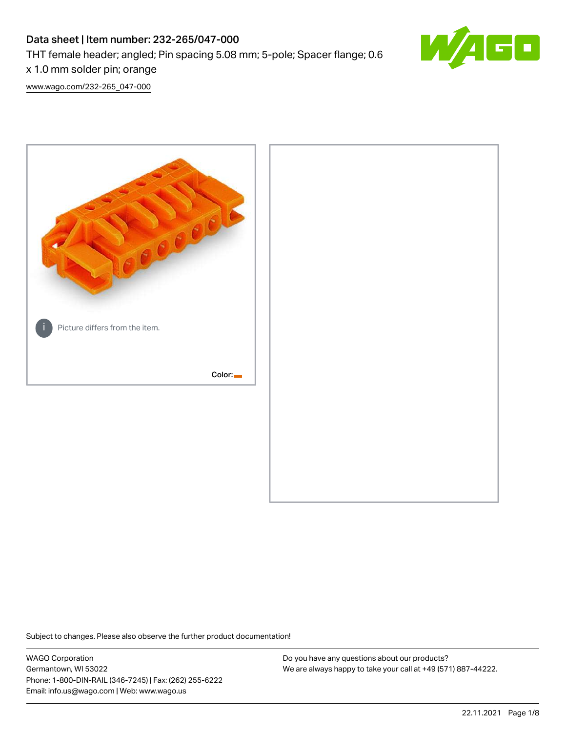# Data sheet | Item number: 232-265/047-000

THT female header; angled; Pin spacing 5.08 mm; 5-pole; Spacer flange; 0.6

x 1.0 mm solder pin; orange

[www.wago.com/232-265\\_047-000](http://www.wago.com/232-265_047-000)



Subject to changes. Please also observe the further product documentation!

WAGO Corporation Germantown, WI 53022 Phone: 1-800-DIN-RAIL (346-7245) | Fax: (262) 255-6222 Email: info.us@wago.com | Web: www.wago.us

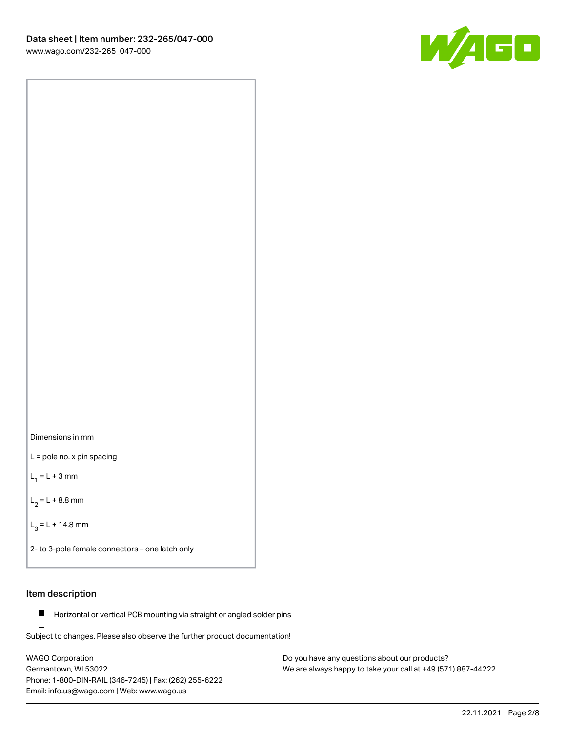

Dimensions in mm

L = pole no. x pin spacing

 $L_1 = L + 3$  mm

 $L_2 = L + 8.8$  mm

 $L_3 = L + 14.8$  mm

2- to 3-pole female connectors – one latch only

# Item description

**Horizontal or vertical PCB mounting via straight or angled solder pins** 

Subject to changes. Please also observe the further product documentation! For board-to-board and board-to-wire connections

WAGO Corporation Germantown, WI 53022 Phone: 1-800-DIN-RAIL (346-7245) | Fax: (262) 255-6222 Email: info.us@wago.com | Web: www.wago.us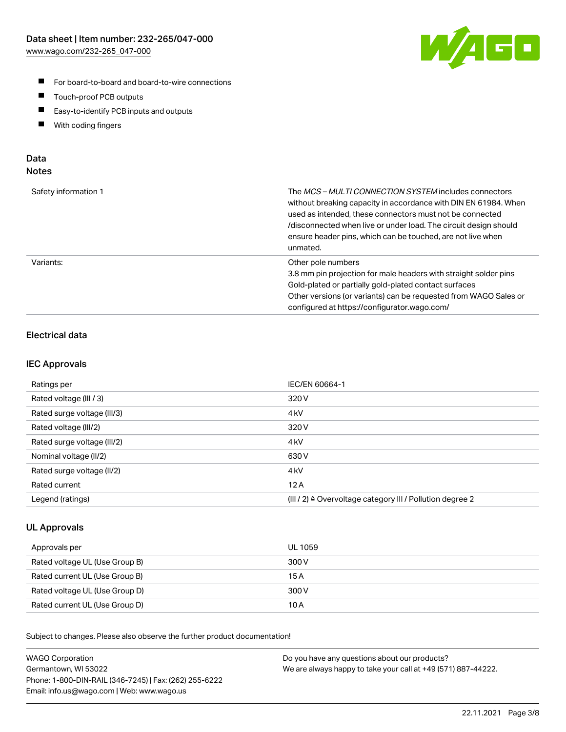

- For board-to-board and board-to-wire connections
- $\blacksquare$ Touch-proof PCB outputs
- $\blacksquare$ Easy-to-identify PCB inputs and outputs
- $\blacksquare$ With coding fingers

# Data **Notes**

| Safety information 1 | The <i>MCS – MULTI CONNECTION SYSTEM</i> includes connectors<br>without breaking capacity in accordance with DIN EN 61984. When<br>used as intended, these connectors must not be connected<br>/disconnected when live or under load. The circuit design should<br>ensure header pins, which can be touched, are not live when<br>unmated. |
|----------------------|--------------------------------------------------------------------------------------------------------------------------------------------------------------------------------------------------------------------------------------------------------------------------------------------------------------------------------------------|
| Variants:            | Other pole numbers<br>3.8 mm pin projection for male headers with straight solder pins<br>Gold-plated or partially gold-plated contact surfaces<br>Other versions (or variants) can be requested from WAGO Sales or<br>configured at https://configurator.wago.com/                                                                        |

# Electrical data

# IEC Approvals

| Ratings per                 | IEC/EN 60664-1                                                        |
|-----------------------------|-----------------------------------------------------------------------|
| Rated voltage (III / 3)     | 320 V                                                                 |
| Rated surge voltage (III/3) | 4 <sub>k</sub> V                                                      |
| Rated voltage (III/2)       | 320 V                                                                 |
| Rated surge voltage (III/2) | 4 <sub>k</sub> V                                                      |
| Nominal voltage (II/2)      | 630 V                                                                 |
| Rated surge voltage (II/2)  | 4 <sub>kV</sub>                                                       |
| Rated current               | 12A                                                                   |
| Legend (ratings)            | $(III / 2)$ $\triangle$ Overvoltage category III / Pollution degree 2 |

# UL Approvals

| Approvals per                  | UL 1059 |
|--------------------------------|---------|
| Rated voltage UL (Use Group B) | 300 V   |
| Rated current UL (Use Group B) | 15 A    |
| Rated voltage UL (Use Group D) | 300 V   |
| Rated current UL (Use Group D) | 10 A    |

Subject to changes. Please also observe the further product documentation!

| <b>WAGO Corporation</b>                                | Do you have any questions about our products?                 |
|--------------------------------------------------------|---------------------------------------------------------------|
| Germantown, WI 53022                                   | We are always happy to take your call at +49 (571) 887-44222. |
| Phone: 1-800-DIN-RAIL (346-7245)   Fax: (262) 255-6222 |                                                               |
| Email: info.us@wago.com   Web: www.wago.us             |                                                               |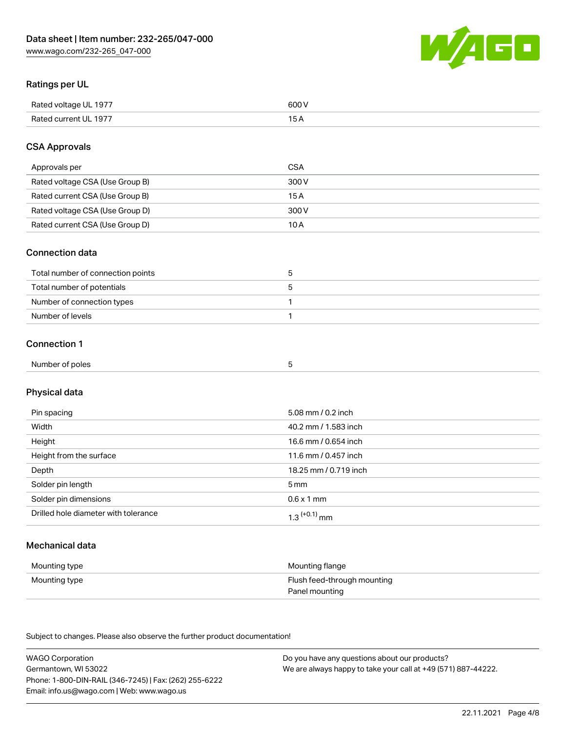

# Ratings per UL

| Rated voltage UL 1977 | 600 V |
|-----------------------|-------|
| Rated current UL 1977 |       |

# CSA Approvals

| Approvals per                   | <b>CSA</b> |
|---------------------------------|------------|
| Rated voltage CSA (Use Group B) | 300 V      |
| Rated current CSA (Use Group B) | 15 A       |
| Rated voltage CSA (Use Group D) | 300 V      |
| Rated current CSA (Use Group D) | 10 A       |

### Connection data

| Total number of connection points |  |
|-----------------------------------|--|
| Total number of potentials        |  |
| Number of connection types        |  |
| Number of levels                  |  |

### Connection 1

| Number of poles<br>.<br>- - - | $-$ |  |
|-------------------------------|-----|--|
|-------------------------------|-----|--|

# Physical data

| Pin spacing                          | 5.08 mm / 0.2 inch         |
|--------------------------------------|----------------------------|
| Width                                | 40.2 mm / 1.583 inch       |
| Height                               | 16.6 mm / 0.654 inch       |
| Height from the surface              | 11.6 mm / 0.457 inch       |
| Depth                                | 18.25 mm / 0.719 inch      |
| Solder pin length                    | $5 \,\mathrm{mm}$          |
| Solder pin dimensions                | $0.6 \times 1$ mm          |
| Drilled hole diameter with tolerance | $1.3$ <sup>(+0.1)</sup> mm |

# Mechanical data

| Mounting type | Mounting flange             |
|---------------|-----------------------------|
| Mounting type | Flush feed-through mounting |
|               | Panel mounting              |

Subject to changes. Please also observe the further product documentation!

| <b>WAGO Corporation</b>                                | Do you have any questions about our products?                 |
|--------------------------------------------------------|---------------------------------------------------------------|
| Germantown, WI 53022                                   | We are always happy to take your call at +49 (571) 887-44222. |
| Phone: 1-800-DIN-RAIL (346-7245)   Fax: (262) 255-6222 |                                                               |
| Email: info.us@wago.com   Web: www.wago.us             |                                                               |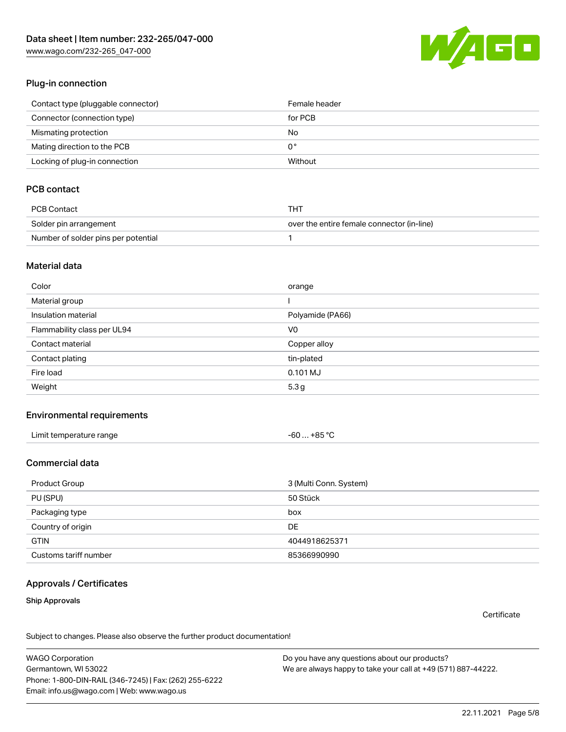[www.wago.com/232-265\\_047-000](http://www.wago.com/232-265_047-000)



# Plug-in connection

| Contact type (pluggable connector) | Female header |
|------------------------------------|---------------|
| Connector (connection type)        | for PCB       |
| Mismating protection               | No            |
| Mating direction to the PCB        | 0°            |
| Locking of plug-in connection      | Without       |

# PCB contact

| PCB Contact                         | THT                                        |
|-------------------------------------|--------------------------------------------|
| Solder pin arrangement              | over the entire female connector (in-line) |
| Number of solder pins per potential |                                            |

# Material data

| Color                       | orange           |
|-----------------------------|------------------|
| Material group              |                  |
| Insulation material         | Polyamide (PA66) |
| Flammability class per UL94 | V <sub>0</sub>   |
| Contact material            | Copper alloy     |
| Contact plating             | tin-plated       |
| Fire load                   | $0.101$ MJ       |
| Weight                      | 5.3 <sub>g</sub> |

### Environmental requirements

| Limit temperature range | -60 … +85 °C |
|-------------------------|--------------|
|-------------------------|--------------|

# Commercial data

| Product Group         | 3 (Multi Conn. System) |
|-----------------------|------------------------|
| PU (SPU)              | 50 Stück               |
| Packaging type        | box                    |
| Country of origin     | DE                     |
| <b>GTIN</b>           | 4044918625371          |
| Customs tariff number | 85366990990            |

### Approvals / Certificates

### Ship Approvals

**Certificate** 

Subject to changes. Please also observe the further product documentation!

WAGO Corporation Germantown, WI 53022 Phone: 1-800-DIN-RAIL (346-7245) | Fax: (262) 255-6222 Email: info.us@wago.com | Web: www.wago.us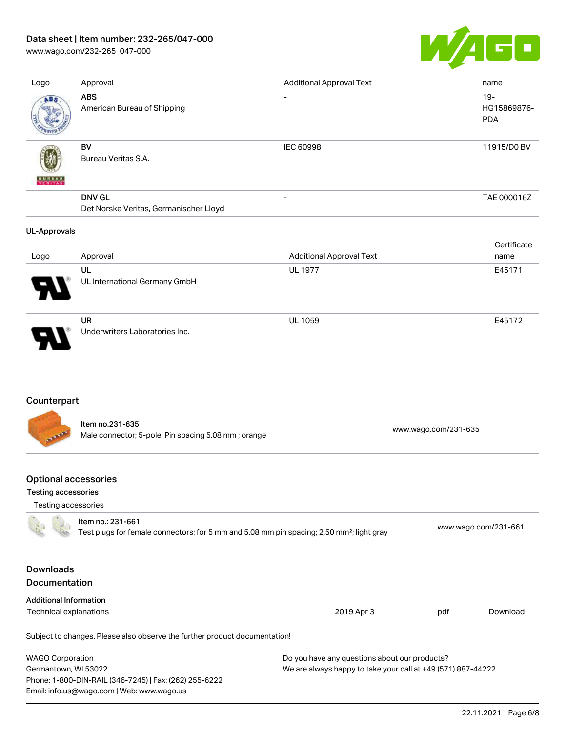# Data sheet | Item number: 232-265/047-000

[www.wago.com/232-265\\_047-000](http://www.wago.com/232-265_047-000)



| Logo                | Approval                                                | <b>Additional Approval Text</b> | name                                |
|---------------------|---------------------------------------------------------|---------------------------------|-------------------------------------|
| ABS                 | <b>ABS</b><br>American Bureau of Shipping               | $\overline{\phantom{0}}$        | $19 -$<br>HG15869876-<br><b>PDA</b> |
| VERITAS             | BV<br>Bureau Veritas S.A.                               | <b>IEC 60998</b>                | 11915/D0 BV                         |
|                     | <b>DNV GL</b><br>Det Norske Veritas, Germanischer Lloyd | $\overline{\phantom{a}}$        | TAE 000016Z                         |
|                     |                                                         |                                 |                                     |
| <b>UL-Approvals</b> |                                                         |                                 |                                     |
| Logo                | Approval                                                | <b>Additional Approval Text</b> | Certificate<br>name                 |
|                     | UL<br>UL International Germany GmbH                     | <b>UL 1977</b>                  | E45171                              |

# Counterpart

Item no.231-635 Male connector; 5-pole; Pin spacing 5.08 mm ; orange [www.wago.com/231-635](https://www.wago.com/231-635)

# Optional accessories

Email: info.us@wago.com | Web: www.wago.us

#### Testing accessories

| Testing accessories                      |                                                                                                                            |                                                               |     |                      |
|------------------------------------------|----------------------------------------------------------------------------------------------------------------------------|---------------------------------------------------------------|-----|----------------------|
|                                          | Item no.: 231-661<br>Test plugs for female connectors; for 5 mm and 5.08 mm pin spacing; 2,50 mm <sup>2</sup> ; light gray |                                                               |     | www.wago.com/231-661 |
| <b>Downloads</b><br><b>Documentation</b> |                                                                                                                            |                                                               |     |                      |
| <b>Additional Information</b>            |                                                                                                                            |                                                               |     |                      |
| Technical explanations                   |                                                                                                                            | 2019 Apr 3                                                    | pdf | Download             |
|                                          | Subject to changes. Please also observe the further product documentation!                                                 |                                                               |     |                      |
| <b>WAGO Corporation</b>                  |                                                                                                                            | Do you have any questions about our products?                 |     |                      |
| Germantown, WI 53022                     |                                                                                                                            | We are always happy to take your call at +49 (571) 887-44222. |     |                      |
|                                          | Phone: 1-800-DIN-RAIL (346-7245)   Fax: (262) 255-6222                                                                     |                                                               |     |                      |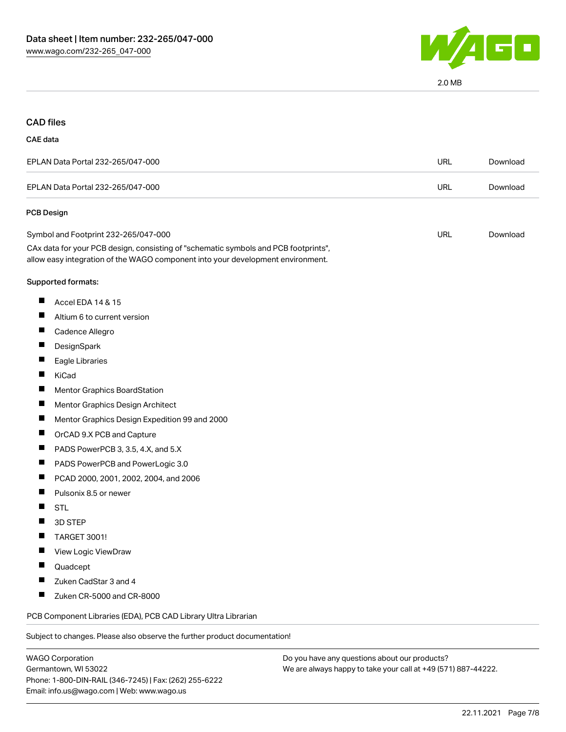

### CAD files

#### CAE data

| EPLAN Data Portal 232-265/047-000 | URL | Download |
|-----------------------------------|-----|----------|
| EPLAN Data Portal 232-265/047-000 | URL | Download |
| <b>PCB Design</b>                 |     |          |

| Symbol and Footprint 232-265/047-000                                                | URL | Download |
|-------------------------------------------------------------------------------------|-----|----------|
| CAx data for your PCB design, consisting of "schematic symbols and PCB footprints", |     |          |
| allow easy integration of the WAGO component into your development environment.     |     |          |

#### Supported formats:

- $\blacksquare$ Accel EDA 14 & 15
- $\blacksquare$ Altium 6 to current version
- $\blacksquare$ Cadence Allegro
- $\blacksquare$ **DesignSpark**
- $\blacksquare$ Eagle Libraries
- $\blacksquare$ KiCad
- $\blacksquare$ Mentor Graphics BoardStation
- $\blacksquare$ Mentor Graphics Design Architect
- $\blacksquare$ Mentor Graphics Design Expedition 99 and 2000
- $\blacksquare$ OrCAD 9.X PCB and Capture
- $\blacksquare$ PADS PowerPCB 3, 3.5, 4.X, and 5.X
- $\blacksquare$ PADS PowerPCB and PowerLogic 3.0
- $\blacksquare$ PCAD 2000, 2001, 2002, 2004, and 2006
- $\blacksquare$ Pulsonix 8.5 or newer
- П **STL**
- $\blacksquare$ 3D STEP
- $\blacksquare$ TARGET 3001!
- П View Logic ViewDraw
- $\blacksquare$ Quadcept
- $\blacksquare$ Zuken CadStar 3 and 4
- $\blacksquare$ Zuken CR-5000 and CR-8000

PCB Component Libraries (EDA), PCB CAD Library Ultra Librarian

Subject to changes. Please also observe the further product documentation!

WAGO Corporation Germantown, WI 53022 Phone: 1-800-DIN-RAIL (346-7245) | Fax: (262) 255-6222 Email: info.us@wago.com | Web: www.wago.us